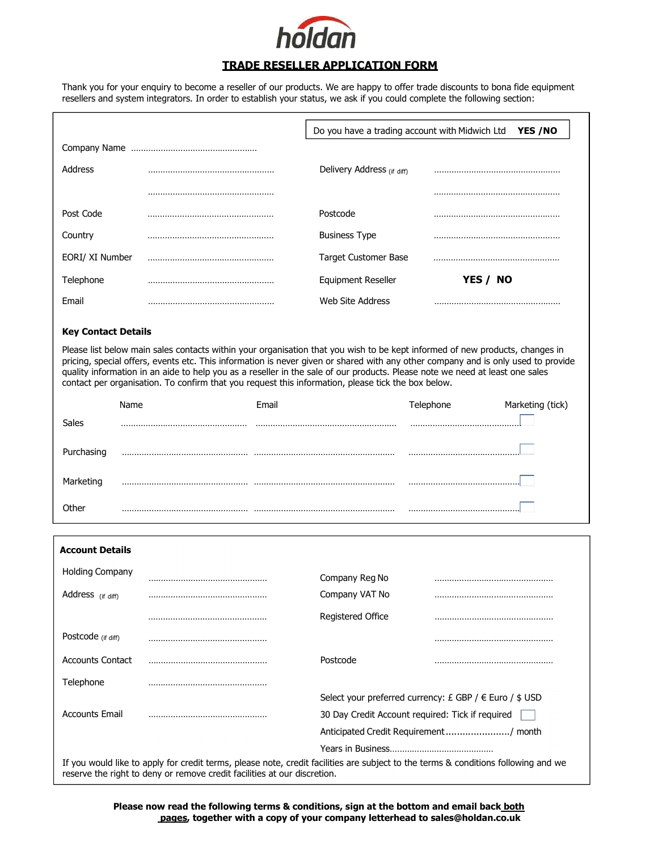

## TRADE RESELLER APPLICATION FORM

Thank you for your enquiry to become a reseller of our products. We are happy to offer trade discounts to bona fide equipment resellers and system integrators. In order to establish your status, we ask if you could complete the following section:

|                            |                                                                                                                                                                                                                                                                                                                                                                                                                                                                                                         | Do you have a trading account with Midwich Ltd<br>YES /NO |           |                  |
|----------------------------|---------------------------------------------------------------------------------------------------------------------------------------------------------------------------------------------------------------------------------------------------------------------------------------------------------------------------------------------------------------------------------------------------------------------------------------------------------------------------------------------------------|-----------------------------------------------------------|-----------|------------------|
|                            |                                                                                                                                                                                                                                                                                                                                                                                                                                                                                                         |                                                           |           |                  |
| <b>Address</b>             |                                                                                                                                                                                                                                                                                                                                                                                                                                                                                                         | Delivery Address (if diff)                                |           |                  |
|                            |                                                                                                                                                                                                                                                                                                                                                                                                                                                                                                         |                                                           |           |                  |
| Post Code                  |                                                                                                                                                                                                                                                                                                                                                                                                                                                                                                         | Postcode                                                  |           |                  |
| Country                    |                                                                                                                                                                                                                                                                                                                                                                                                                                                                                                         | <b>Business Type</b>                                      |           |                  |
| EORI/ XI Number            |                                                                                                                                                                                                                                                                                                                                                                                                                                                                                                         | <b>Target Customer Base</b>                               |           |                  |
| Telephone                  |                                                                                                                                                                                                                                                                                                                                                                                                                                                                                                         | <b>Equipment Reseller</b>                                 | YES / NO  |                  |
| Email                      |                                                                                                                                                                                                                                                                                                                                                                                                                                                                                                         | <b>Web Site Address</b>                                   |           |                  |
| <b>Key Contact Details</b> |                                                                                                                                                                                                                                                                                                                                                                                                                                                                                                         |                                                           |           |                  |
|                            | Please list below main sales contacts within your organisation that you wish to be kept informed of new products, changes in<br>pricing, special offers, events etc. This information is never given or shared with any other company and is only used to provide<br>quality information in an aide to help you as a reseller in the sale of our products. Please note we need at least one sales<br>contact per organisation. To confirm that you request this information, please tick the box below. |                                                           |           |                  |
| Name                       | Email                                                                                                                                                                                                                                                                                                                                                                                                                                                                                                   |                                                           | Telephone | Marketing (tick) |
| <b>Sales</b>               |                                                                                                                                                                                                                                                                                                                                                                                                                                                                                                         |                                                           |           |                  |
| Purchasing                 |                                                                                                                                                                                                                                                                                                                                                                                                                                                                                                         |                                                           |           |                  |
| Marketing                  |                                                                                                                                                                                                                                                                                                                                                                                                                                                                                                         |                                                           |           |                  |
| Other                      |                                                                                                                                                                                                                                                                                                                                                                                                                                                                                                         |                                                           |           |                  |

| <b>Account Details</b>                                                                                                                                                                                         |  |                                                  |                                                               |  |
|----------------------------------------------------------------------------------------------------------------------------------------------------------------------------------------------------------------|--|--------------------------------------------------|---------------------------------------------------------------|--|
| <b>Holding Company</b>                                                                                                                                                                                         |  | Company Reg No                                   |                                                               |  |
| Address (if diff)                                                                                                                                                                                              |  | Company VAT No                                   |                                                               |  |
|                                                                                                                                                                                                                |  | Registered Office                                |                                                               |  |
| Postcode (if diff)                                                                                                                                                                                             |  |                                                  |                                                               |  |
| <b>Accounts Contact</b>                                                                                                                                                                                        |  | Postcode                                         |                                                               |  |
| Telephone                                                                                                                                                                                                      |  |                                                  |                                                               |  |
|                                                                                                                                                                                                                |  |                                                  | Select your preferred currency: $E$ GBP / $E$ Euro / $\$$ USD |  |
| <b>Accounts Email</b>                                                                                                                                                                                          |  | 30 Day Credit Account required: Tick if required |                                                               |  |
|                                                                                                                                                                                                                |  | Anticipated Credit Requirement/ month            |                                                               |  |
|                                                                                                                                                                                                                |  |                                                  |                                                               |  |
| If you would like to apply for credit terms, please note, credit facilities are subject to the terms & conditions following and we<br>reserve the right to deny or remove credit facilities at our discretion. |  |                                                  |                                                               |  |

Please now read the following terms & conditions, sign at the bottom and email back both pages, together with a copy of your company letterhead to sales@holdan.co.uk